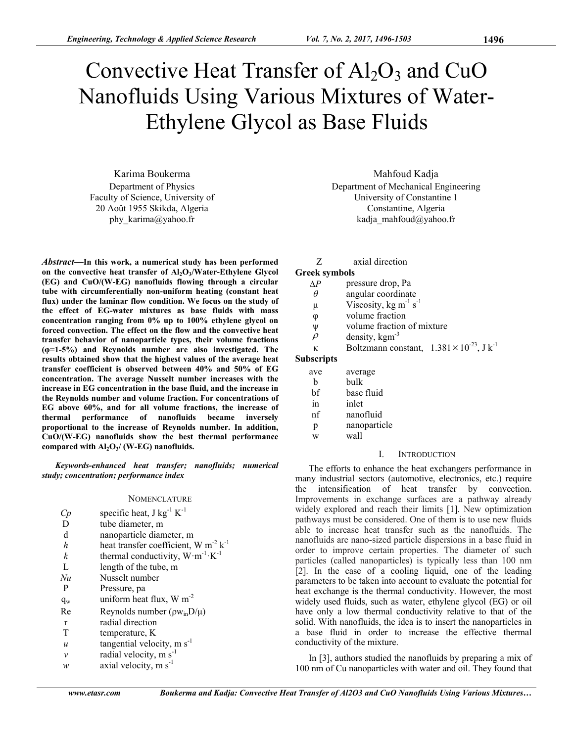# Convective Heat Transfer of  $Al_2O_3$  and CuO Nanofluids Using Various Mixtures of Water-Ethylene Glycol as Base Fluids

Karima Boukerma Department of Physics Faculty of Science, University of 20 Août 1955 Skikda, Algeria phy\_karima@yahoo.fr

*Abstract***—In this work, a numerical study has been performed**  on the convective heat transfer of Al<sub>2</sub>O<sub>3</sub>/Water-Ethylene Glycol **(EG) and CuO/(W-EG) nanofluids flowing through a circular tube with circumferentially non-uniform heating (constant heat flux) under the laminar flow condition. We focus on the study of the effect of EG-water mixtures as base fluids with mass concentration ranging from 0% up to 100% ethylene glycol on forced convection. The effect on the flow and the convective heat transfer behavior of nanoparticle types, their volume fractions (φ=1-5%) and Reynolds number are also investigated. The results obtained show that the highest values of the average heat transfer coefficient is observed between 40% and 50% of EG concentration. The average Nusselt number increases with the increase in EG concentration in the base fluid, and the increase in the Reynolds number and volume fraction. For concentrations of EG above 60%, and for all volume fractions, the increase of thermal performance of nanofluids became inversely proportional to the increase of Reynolds number. In addition, CuO/(W-EG) nanofluids show the best thermal performance compared with Al2O3/ (W-EG) nanofluids.** 

*Keywords-enhanced heat transfer; nanofluids; numerical study; concentration; performance index* 

#### **NOMENCLATURE**

| Cр               | specific heat, $J kg^{-1} K^{-1}$                     |
|------------------|-------------------------------------------------------|
| D                | tube diameter, m                                      |
| d                | nanoparticle diameter, m                              |
| h                | heat transfer coefficient, W $m^{-2}$ k <sup>-1</sup> |
| k                | thermal conductivity, $W \cdot m^{-1} \cdot K^{-1}$   |
| $\mathbf{L}$     | length of the tube, m                                 |
| Nu               | Nusselt number                                        |
| P                | Pressure, pa                                          |
| $q_w$            | uniform heat flux, $W m^{-2}$                         |
| Re               | Reynolds number $(\rho w_{in}D/\mu)$                  |
| r                | radial direction                                      |
| T                | temperature, K                                        |
| $\boldsymbol{u}$ | tangential velocity, $m s^{-1}$                       |
| $\mathcal{V}$    | radial velocity, m s <sup>-1</sup>                    |
| w                | axial velocity, $m s^{-1}$                            |

Mahfoud Kadja Department of Mechanical Engineering University of Constantine 1 Constantine, Algeria kadja\_mahfoud@yahoo.fr

Z axial direction

# **Greek symbols**

- $\Delta P$  pressure drop, Pa
- *θ* angular coordinate
- $\mu$  Viscosity, kg m<sup>-1</sup> s<sup>-1</sup>
- φ volume fraction
- ψ volume fraction of mixture
- $\rho$  density, kgm<sup>-3</sup>
- κ Boltzmann constant,  $1.381 \times 10^{-23}$ , J k<sup>-1</sup>

# **Subscripts**

| ave | average      |  |
|-----|--------------|--|
| h   | bulk         |  |
| bf  | base fluid   |  |
| in  | inlet        |  |
| nf  | nanofluid    |  |
| p   | nanoparticle |  |
|     | wall         |  |

# I. INTRODUCTION

The efforts to enhance the heat exchangers performance in many industrial sectors (automotive, electronics, etc.) require the intensification of heat transfer by convection. Improvements in exchange surfaces are a pathway already widely explored and reach their limits [1]. New optimization pathways must be considered. One of them is to use new fluids able to increase heat transfer such as the nanofluids. The nanofluids are nano-sized particle dispersions in a base fluid in order to improve certain properties. The diameter of such particles (called nanoparticles) is typically less than 100 nm [2]. In the case of a cooling liquid, one of the leading parameters to be taken into account to evaluate the potential for heat exchange is the thermal conductivity. However, the most widely used fluids, such as water, ethylene glycol (EG) or oil have only a low thermal conductivity relative to that of the solid. With nanofluids, the idea is to insert the nanoparticles in a base fluid in order to increase the effective thermal conductivity of the mixture.

In [3], authors studied the nanofluids by preparing a mix of 100 nm of Cu nanoparticles with water and oil. They found that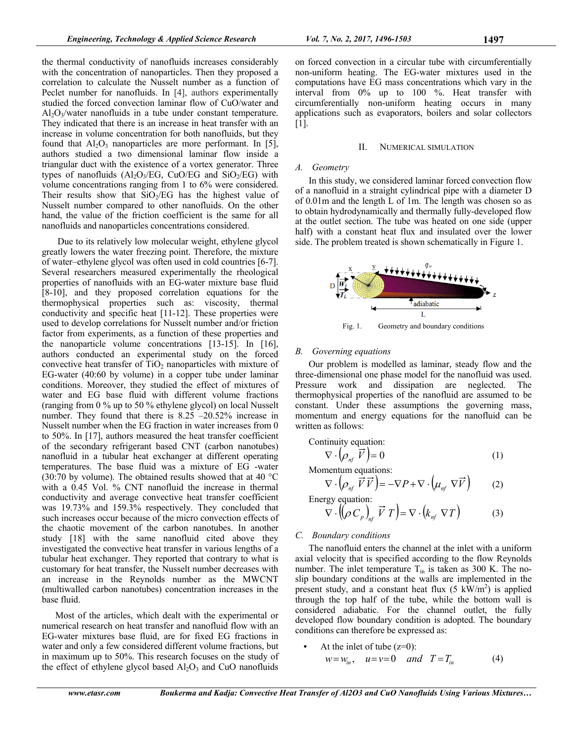the thermal conductivity of nanofluids increases considerably with the concentration of nanoparticles. Then they proposed a correlation to calculate the Nusselt number as a function of Peclet number for nanofluids. In [4], authors experimentally studied the forced convection laminar flow of CuO/water and  $Al_2O_3$  water nanofluids in a tube under constant temperature. They indicated that there is an increase in heat transfer with an increase in volume concentration for both nanofluids, but they found that  $Al_2O_3$  nanoparticles are more performant. In [5], authors studied a two dimensional laminar flow inside a triangular duct with the existence of a vortex generator. Three types of nanofluids  $(Al_2O_3/EG, CuO/EG, and SiO_2/EG)$  with volume concentrations ranging from 1 to 6% were considered. Their results show that  $SiO<sub>2</sub>/EG$  has the highest value of Nusselt number compared to other nanofluids. On the other hand, the value of the friction coefficient is the same for all nanofluids and nanoparticles concentrations considered.

 Due to its relatively low molecular weight, ethylene glycol greatly lowers the water freezing point. Therefore, the mixture of water–ethylene glycol was often used in cold countries [6-7]. Several researchers measured experimentally the rheological properties of nanofluids with an EG-water mixture base fluid [8-10], and they proposed correlation equations for the thermophysical properties such as: viscosity, thermal conductivity and specific heat [11-12]. These properties were used to develop correlations for Nusselt number and/or friction factor from experiments, as a function of these properties and the nanoparticle volume concentrations [13-15]. In [16], authors conducted an experimental study on the forced convective heat transfer of  $TiO<sub>2</sub>$  nanoparticles with mixture of EG-water (40:60 by volume) in a copper tube under laminar conditions. Moreover, they studied the effect of mixtures of water and EG base fluid with different volume fractions (ranging from 0 % up to 50 % ethylene glycol) on local Nusselt number. They found that there is 8.25 –20.52% increase in Nusselt number when the EG fraction in water increases from 0 to 50%. In [17], authors measured the heat transfer coefficient of the secondary refrigerant based CNT (carbon nanotubes) nanofluid in a tubular heat exchanger at different operating temperatures. The base fluid was a mixture of EG -water (30:70 by volume). The obtained results showed that at 40  $^{\circ}$ C with a 0.45 Vol. % CNT nanofluid the increase in thermal conductivity and average convective heat transfer coefficient was 19.73% and 159.3% respectively. They concluded that such increases occur because of the micro convection effects of the chaotic movement of the carbon nanotubes. In another study [18] with the same nanofluid cited above they investigated the convective heat transfer in various lengths of a tubular heat exchanger. They reported that contrary to what is customary for heat transfer, the Nusselt number decreases with an increase in the Reynolds number as the MWCNT (multiwalled carbon nanotubes) concentration increases in the base fluid.

Most of the articles, which dealt with the experimental or numerical research on heat transfer and nanofluid flow with an EG-water mixtures base fluid, are for fixed EG fractions in water and only a few considered different volume fractions, but in maximum up to 50%. This research focuses on the study of the effect of ethylene glycol based  $Al_2O_3$  and CuO nanofluids on forced convection in a circular tube with circumferentially non-uniform heating. The EG-water mixtures used in the computations have EG mass concentrations which vary in the interval from 0% up to 100 %. Heat transfer with circumferentially non-uniform heating occurs in many applications such as evaporators, boilers and solar collectors [1].

#### II. NUMERICAL SIMULATION

#### *A. Geometry*

In this study, we considered laminar forced convection flow of a nanofluid in a straight cylindrical pipe with a diameter D of 0.01m and the length L of 1m. The length was chosen so as to obtain hydrodynamically and thermally fully-developed flow at the outlet section. The tube was heated on one side (upper half) with a constant heat flux and insulated over the lower side. The problem treated is shown schematically in Figure 1.



Fig. 1. Geometry and boundary conditions

# *B. Governing equations*

Our problem is modelled as laminar, steady flow and the three-dimensional one phase model for the nanofluid was used. Pressure work and dissipation are neglected. The thermophysical properties of the nanofluid are assumed to be constant. Under these assumptions the governing mass, momentum and energy equations for the nanofluid can be written as follows:

Continuity equation:

$$
\nabla \cdot \left( \rho_{\eta f} \ \vec{V} \right) = 0 \tag{1}
$$

Momentum equations:

$$
\nabla \cdot \left( \rho_{nf} \ \vec{V} \ \vec{V} \right) = -\nabla P + \nabla \cdot \left( \mu_{nf} \ \nabla \vec{V} \right) \tag{2}
$$

Energy equation:  
\n
$$
\nabla \cdot (\!\!\left(\rho \, C_{p}\right)_{nf} \vec{V} \, T) = \nabla \cdot (k_{nf} \, \nabla T) \tag{3}
$$

# *C. Boundary conditions*

The nanofluid enters the channel at the inlet with a uniform axial velocity that is specified according to the flow Reynolds number. The inlet temperature  $T_{in}$  is taken as 300 K. The noslip boundary conditions at the walls are implemented in the present study, and a constant heat flux  $(5 \text{ kW/m}^2)$  is applied through the top half of the tube, while the bottom wall is considered adiabatic. For the channel outlet, the fully developed flow boundary condition is adopted. The boundary conditions can therefore be expressed as:

At the inlet of tube  $(z=0)$ :  $w = w_{in}$ ,  $u = v = 0$  and  $T = T_{in}$  (4)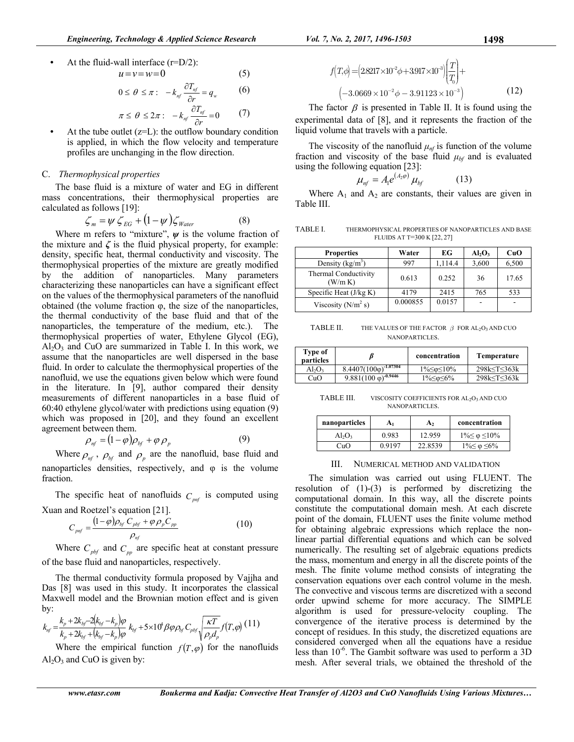At the fluid-wall interface  $(r=D/2)$ :  $u = v - w - 0$  (5)

$$
a - v - w = 0 \tag{3}
$$
  
\n
$$
0 \le \theta \le \pi: \quad -k_{nf} \frac{\partial T_{nf}}{\partial r} = q_w \tag{6}
$$
  
\n
$$
\pi \le \theta \le 2\pi: \quad -k_{nf} \frac{\partial T_{nf}}{\partial r} = 0 \tag{7}
$$

• At the tube outlet  $(z=L)$ : the outflow boundary condition is applied, in which the flow velocity and temperature profiles are unchanging in the flow direction.

# C. *Thermophysical properties*

The base fluid is a mixture of water and EG in different mass concentrations, their thermophysical properties are calculated as follows [19]:

$$
\zeta_m = \psi \zeta_{EG} + (1 - \psi) \zeta_{\text{Water}} \tag{8}
$$

Where m refers to "mixture",  $\psi$  is the volume fraction of the mixture and  $\zeta$  is the fluid physical property, for example: density, specific heat, thermal conductivity and viscosity. The thermophysical properties of the mixture are greatly modified by the addition of nanoparticles. Many parameters characterizing these nanoparticles can have a significant effect on the values of the thermophysical parameters of the nanofluid obtained (the volume fraction φ, the size of the nanoparticles, the thermal conductivity of the base fluid and that of the nanoparticles, the temperature of the medium, etc.). The thermophysical properties of water, Ethylene Glycol (EG),  $Al_2O_3$  and CuO are summarized in Table I. In this work, we assume that the nanoparticles are well dispersed in the base fluid. In order to calculate the thermophysical properties of the nanofluid, we use the equations given below which were found in the literature. In [9], author compared their density measurements of different nanoparticles in a base fluid of 60:40 ethylene glycol/water with predictions using equation (9) which was proposed in [20], and they found an excellent agreement between them.

$$
\rho_{nf} = (1 - \varphi)\rho_{bf} + \varphi \rho_p \tag{9}
$$

Where  $\rho_{nf}$ ,  $\rho_{bf}$  and  $\rho_{p}$  are the nanofluid, base fluid and nanoparticles densities, respectively, and φ is the volume fraction.

The specific heat of nanofluids  $C_{pnt}$  is computed using Xuan and Roetzel's equation [21].

$$
C_{\rho\eta f} = \frac{(1-\varphi)\rho_{\textit{bf}}C_{\textit{pbf}} + \varphi \rho_{\textit{p}}C_{\textit{pp}}}{\rho_{\textit{nf}}}
$$
(10)

Where  $C_{\text{pbf}}$  and  $C_{\text{pp}}$  are specific heat at constant pressure of the base fluid and nanoparticles, respectively.

The thermal conductivity formula proposed by Vajjha and Das [8] was used in this study. It incorporates the classical Maxwell model and the Brownian motion effect and is given by:

$$
k_{nf} = \frac{k_p + 2k_{bf} - 2(k_{bf} - k_p)\varphi}{k_p + 2k_{bf} + (k_{bf} - k_p)\varphi} k_{bf} + 5 \times 10^4 \beta \varphi \rho_{bf} C_{pbf} \sqrt{\frac{\kappa T}{\rho_p d_p}} f(T, \varphi) (11)
$$

Where the empirical function  $f(T, \varphi)$  for the nanofluids  $Al<sub>2</sub>O<sub>3</sub>$  and CuO is given by:

$$
f(T,\phi) = (2.8217 \times 10^{-2} \phi + 3.917 \times 10^{-3}) \left(\frac{T}{T_0}\right) +
$$
  

$$
(-3.0669 \times 10^{-2} \phi - 3.91123 \times 10^{-3})
$$
 (12)

The factor  $\beta$  is presented in Table II. It is found using the experimental data of [8], and it represents the fraction of the liquid volume that travels with a particle.

The viscosity of the nanofluid  $\mu_{nf}$  is function of the volume fraction and viscosity of the base fluid  $\mu_{bf}$  and is evaluated using the following equation [23]:

$$
\mu_{nf} = A_1 e^{(A_2 \varphi)} \mu_{bf} \tag{13}
$$

Where  $A_1$  and  $A_2$  are constants, their values are given in Table III.

TABLE I. THERMOPHYSICAL PROPERTIES OF NANOPARTICLES AND BASE FLUIDS AT T=300 K [22, 27]

| <b>Properties</b>               | Water    | EG      | $Al_2O_3$ | CuO   |
|---------------------------------|----------|---------|-----------|-------|
| Density $(kg/m3)$               | 997      | 1,114.4 | 3,600     | 6,500 |
| Thermal Conductivity<br>(W/m K) | 0.613    | 0.252   | 36        | 17.65 |
| Specific Heat $(J/kg K)$        | 4179     | 2415    | 765       | 533   |
| Viscosity $(N/m^2 s)$           | 0.000855 | 0.0157  |           |       |

TABLE II. THE VALUES OF THE FACTOR  $\beta$  FOR AL<sub>2</sub>O<sub>3</sub> AND CUO NANOPARTICLES.

| Type of<br>particles |                                         | concentration             | Temperature                    |
|----------------------|-----------------------------------------|---------------------------|--------------------------------|
| $Al_2O_3$            | $8.4407(100\overline{\phi})^{-1.07304}$ | $1\% \leq \phi \leq 10\%$ | 298k <t<363k< td=""></t<363k<> |
| CuO                  | $9.881(100 \overline{\phi})^{-0.9446}$  | $1\%≤φ≤6%$                | 298k <t<363k< td=""></t<363k<> |

TABLE III. VISCOSITY COEFFICIENTS FOR AL<sub>2</sub>O<sub>3</sub> AND CUO NANOPARTICLES.

| nanoparticles | A1     | A۰      | concentration                |
|---------------|--------|---------|------------------------------|
| $Al_2O_3$     | 0.983  | 12.959  | $1\% \leq \varphi \leq 10\%$ |
| CuO           | 0.9197 | 22.8539 | $1\% \leq \varphi \leq 6\%$  |

#### III. NUMERICAL METHOD AND VALIDATION

The simulation was carried out using FLUENT. The resolution of  $(1)-(3)$  is performed by discretizing the computational domain. In this way, all the discrete points constitute the computational domain mesh. At each discrete point of the domain, FLUENT uses the finite volume method for obtaining algebraic expressions which replace the nonlinear partial differential equations and which can be solved numerically. The resulting set of algebraic equations predicts the mass, momentum and energy in all the discrete points of the mesh. The finite volume method consists of integrating the conservation equations over each control volume in the mesh. The convective and viscous terms are discretized with a second order upwind scheme for more accuracy. The SIMPLE algorithm is used for pressure-velocity coupling. The convergence of the iterative process is determined by the concept of residues. In this study, the discretized equations are considered converged when all the equations have a residue less than  $10^{-6}$ . The Gambit software was used to perform a 3D mesh. After several trials, we obtained the threshold of the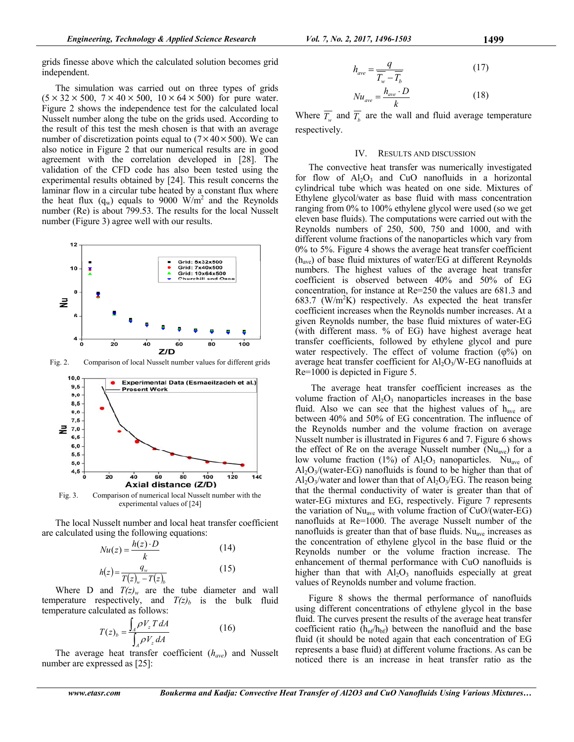grids finesse above which the calculated solution becomes grid independent.

The simulation was carried out on three types of grids  $(5 \times 32 \times 500, 7 \times 40 \times 500, 10 \times 64 \times 500)$  for pure water. Figure 2 shows the independence test for the calculated local Nusselt number along the tube on the grids used. According to the result of this test the mesh chosen is that with an average number of discretization points equal to  $(7 \times 40 \times 500)$ . We can also notice in Figure 2 that our numerical results are in good agreement with the correlation developed in [28]. The validation of the CFD code has also been tested using the experimental results obtained by [24]. This result concerns the laminar flow in a circular tube heated by a constant flux where the heat flux  $(q_w)$  equals to 9000 W/m<sup>2</sup> and the Reynolds number (Re) is about 799.53. The results for the local Nusselt number (Figure 3) agree well with our results.



Fig. 2. Comparison of local Nusselt number values for different grids



Fig. 3. Comparison of numerical local Nusselt number with the experimental values of [24]

The local Nusselt number and local heat transfer coefficient are calculated using the following equations:

$$
Nu(z) = \frac{h(z) \cdot D}{k}
$$
\n
$$
h(z) = \frac{q_w}{T(z)_w - T(z)_b}
$$
\n(15)

Where D and  $T(z)_{w}$  are the tube diameter and wall temperature respectively, and  $T(z)_b$  is the bulk fluid temperature calculated as follows:

$$
T(z)_b = \frac{\int_A \rho V_z T dA}{\int_A \rho V_z dA} \tag{16}
$$

The average heat transfer coefficient (*have*) and Nusselt number are expressed as [25]:

$$
h_{ave} = \frac{q}{\overline{T_w} - \overline{T_b}}
$$
 (17)  
\n
$$
Nu_{ave} = \frac{h_{ave} \cdot D}{k}
$$
 (18)

Where  $\overline{T_w}$  and  $\overline{T_b}$  are the wall and fluid average temperature respectively.

#### IV. RESULTS AND DISCUSSION

The convective heat transfer was numerically investigated for flow of  $Al_2O_3$  and CuO nanofluids in a horizontal cylindrical tube which was heated on one side. Mixtures of Ethylene glycol/water as base fluid with mass concentration ranging from 0% to 100% ethylene glycol were used (so we get eleven base fluids). The computations were carried out with the Reynolds numbers of 250, 500, 750 and 1000, and with different volume fractions of the nanoparticles which vary from 0% to 5%. Figure 4 shows the average heat transfer coefficient (have) of base fluid mixtures of water/EG at different Reynolds numbers. The highest values of the average heat transfer coefficient is observed between 40% and 50% of EG concentration, for instance at Re=250 the values are 681.3 and 683.7 ( $W/m^2K$ ) respectively. As expected the heat transfer coefficient increases when the Reynolds number increases. At a given Reynolds number, the base fluid mixtures of water-EG (with different mass. % of EG) have highest average heat transfer coefficients, followed by ethylene glycol and pure water respectively. The effect of volume fraction  $(\varphi\%)$  on average heat transfer coefficient for  $A l_2 O_3/W$ -EG nanofluids at Re=1000 is depicted in Figure 5.

 The average heat transfer coefficient increases as the volume fraction of  $\mathrm{Al}_2\mathrm{O}_3$  nanoparticles increases in the base fluid. Also we can see that the highest values of  $h_{ave}$  are between 40% and 50% of EG concentration. The influence of the Reynolds number and the volume fraction on average Nusselt number is illustrated in Figures 6 and 7. Figure 6 shows the effect of Re on the average Nusselt number ( $Nu<sub>ave</sub>$ ) for a low volume fraction (1%) of  $Al_2O_3$  nanoparticles. Nu<sub>ave</sub> of  $Al_2O_3/(water-EG)$  nanofluids is found to be higher than that of Al<sub>2</sub>O<sub>3</sub>/water and lower than that of Al<sub>2</sub>O<sub>3</sub>/EG. The reason being that the thermal conductivity of water is greater than that of water-EG mixtures and EG, respectively. Figure 7 represents the variation of  $Nu<sub>ave</sub>$  with volume fraction of  $CuO/(water-EG)$ nanofluids at Re=1000. The average Nusselt number of the nanofluids is greater than that of base fluids. Nu<sub>ave</sub> increases as the concentration of ethylene glycol in the base fluid or the Reynolds number or the volume fraction increase. The enhancement of thermal performance with CuO nanofluids is higher than that with  $\overline{Al}_2O_3$  nanofluids especially at great values of Reynolds number and volume fraction.

Figure 8 shows the thermal performance of nanofluids using different concentrations of ethylene glycol in the base fluid. The curves present the results of the average heat transfer coefficient ratio  $(h_{nf}/h_{bf})$  between the nanofluid and the base fluid (it should be noted again that each concentration of EG represents a base fluid) at different volume fractions. As can be noticed there is an increase in heat transfer ratio as the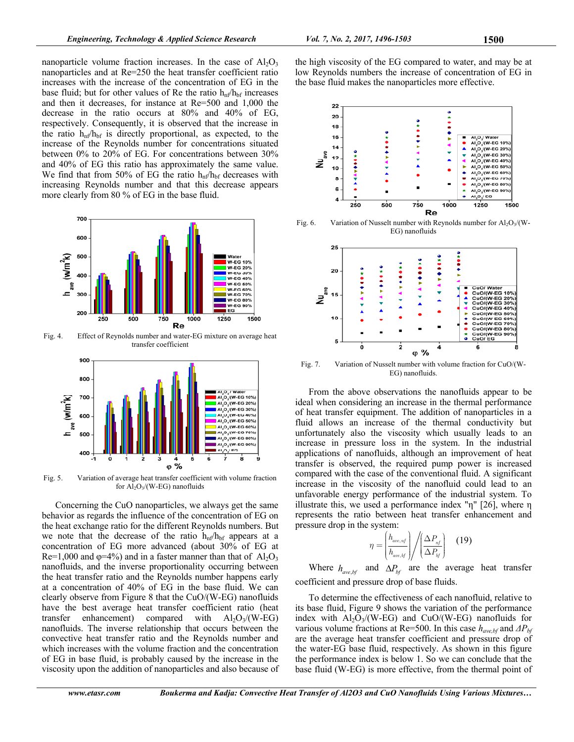nanoparticle volume fraction increases. In the case of  $Al_2O_3$ nanoparticles and at Re=250 the heat transfer coefficient ratio increases with the increase of the concentration of EG in the base fluid; but for other values of Re the ratio  $h_{nf}/h_{bf}$  increases and then it decreases, for instance at Re=500 and 1,000 the decrease in the ratio occurs at 80% and 40% of EG, respectively. Consequently, it is observed that the increase in the ratio  $h_{\text{nf}}/h_{\text{bf}}$  is directly proportional, as expected, to the increase of the Reynolds number for concentrations situated between 0% to 20% of EG. For concentrations between 30% and 40% of EG this ratio has approximately the same value. We find that from 50% of EG the ratio  $h_{n}f/h_{bf}$  decreases with increasing Reynolds number and that this decrease appears more clearly from 80 % of EG in the base fluid.



Fig. 4. Effect of Reynolds number and water-EG mixture on average heat transfer coefficient



Fig. 5. Variation of average heat transfer coefficient with volume fraction for  $Al_2O_3/(W-EG)$  nanofluids

Concerning the CuO nanoparticles, we always get the same behavior as regards the influence of the concentration of EG on the heat exchange ratio for the different Reynolds numbers. But we note that the decrease of the ratio  $h_{\text{nf}}/h_{\text{bf}}$  appears at a concentration of EG more advanced (about 30% of EG at Re=1,000 and  $\varphi$ =4%) and in a faster manner than that of Al<sub>2</sub>O<sub>3</sub> nanofluids, and the inverse proportionality occurring between the heat transfer ratio and the Reynolds number happens early at a concentration of 40% of EG in the base fluid. We can clearly observe from Figure 8 that the CuO/(W-EG) nanofluids have the best average heat transfer coefficient ratio (heat transfer enhancement) compared with  $A<sub>1</sub>Q<sub>3</sub>/(W-EG)$ nanofluids. The inverse relationship that occurs between the convective heat transfer ratio and the Reynolds number and which increases with the volume fraction and the concentration of EG in base fluid, is probably caused by the increase in the viscosity upon the addition of nanoparticles and also because of the high viscosity of the EG compared to water, and may be at low Reynolds numbers the increase of concentration of EG in the base fluid makes the nanoparticles more effective.



Fig. 6. Variation of Nusselt number with Reynolds number for  $Al_2O_3/(W-$ EG) nanofluids



Fig. 7. Variation of Nusselt number with volume fraction for CuO/(W-EG) nanofluids.

From the above observations the nanofluids appear to be ideal when considering an increase in the thermal performance of heat transfer equipment. The addition of nanoparticles in a fluid allows an increase of the thermal conductivity but unfortunately also the viscosity which usually leads to an increase in pressure loss in the system. In the industrial applications of nanofluids, although an improvement of heat transfer is observed, the required pump power is increased compared with the case of the conventional fluid. A significant increase in the viscosity of the nanofluid could lead to an unfavorable energy performance of the industrial system. To illustrate this, we used a performance index "η" [26], where η represents the ratio between heat transfer enhancement and pressure drop in the system:

$$
\eta = \left(\frac{h_{ave, nf}}{h_{ave, bf}}\right) \bigg/ \left(\frac{\Delta P_{nf}}{\Delta P_{bf}}\right) \quad (19)
$$

Where  $h_{ave,bf}$  and  $\Delta P_{bf}$  are the average heat transfer coefficient and pressure drop of base fluids.

To determine the effectiveness of each nanofluid, relative to its base fluid, Figure 9 shows the variation of the performance index with  $Al_2O_3/(W-EG)$  and  $CuO/(W-EG)$  nanofluids for various volume fractions at Re=500. In this case *have,bf* and *ΔΡbf* are the average heat transfer coefficient and pressure drop of the water-EG base fluid, respectively. As shown in this figure the performance index is below 1. So we can conclude that the base fluid (W-EG) is more effective, from the thermal point of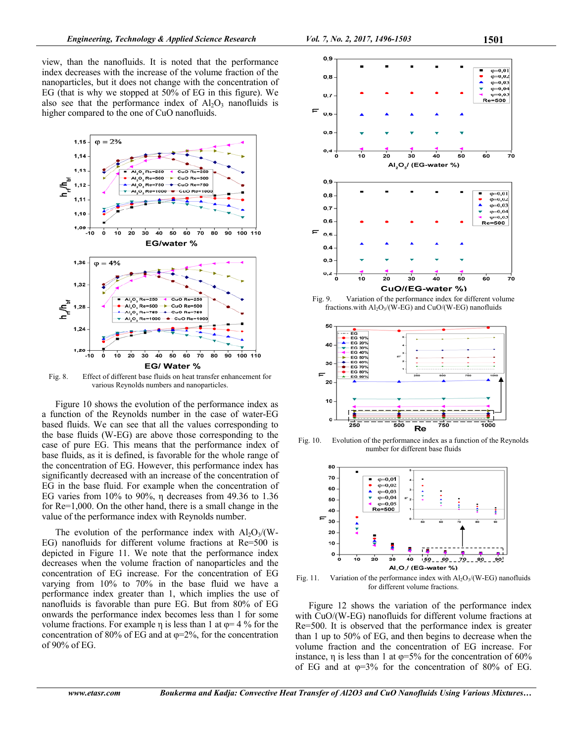view, than the nanofluids. It is noted that the performance index decreases with the increase of the volume fraction of the nanoparticles, but it does not change with the concentration of EG (that is why we stopped at 50% of EG in this figure). We also see that the performance index of  $A<sub>2</sub>O<sub>3</sub>$  nanofluids is higher compared to the one of CuO nanofluids.



Fig. 8. Effect of different base fluids on heat transfer enhancement for various Reynolds numbers and nanoparticles.

Figure 10 shows the evolution of the performance index as a function of the Reynolds number in the case of water-EG based fluids. We can see that all the values corresponding to the base fluids (W-EG) are above those corresponding to the case of pure EG. This means that the performance index of base fluids, as it is defined, is favorable for the whole range of the concentration of EG. However, this performance index has significantly decreased with an increase of the concentration of EG in the base fluid. For example when the concentration of EG varies from 10% to 90%, η decreases from 49.36 to 1.36 for Re=1,000. On the other hand, there is a small change in the value of the performance index with Reynolds number.

The evolution of the performance index with  $A_2O_3/(W-$ EG) nanofluids for different volume fractions at Re=500 is depicted in Figure 11. We note that the performance index decreases when the volume fraction of nanoparticles and the concentration of EG increase. For the concentration of EG varying from 10% to 70% in the base fluid we have a performance index greater than 1, which implies the use of nanofluids is favorable than pure EG. But from 80% of EG onwards the performance index becomes less than 1 for some volume fractions. For example  $\eta$  is less than 1 at  $\varphi$ = 4 % for the concentration of 80% of EG and at  $\varphi$ =2%, for the concentration of 90% of EG.



fractions.with  $Al_2O_3/(W-EG)$  and CuO/(W-EG) nanofluids



Fig. 10. Evolution of the performance index as a function of the Reynolds number for different base fluids



Fig. 11. Variation of the performance index with  $Al_2O_3/(W-EG)$  nanofluids for different volume fractions.

Figure 12 shows the variation of the performance index with CuO/(W-EG) nanofluids for different volume fractions at Re=500. It is observed that the performance index is greater than 1 up to 50% of EG, and then begins to decrease when the volume fraction and the concentration of EG increase. For instance,  $\eta$  is less than 1 at  $\varphi$ =5% for the concentration of 60% of EG and at  $\varphi$ =3% for the concentration of 80% of EG.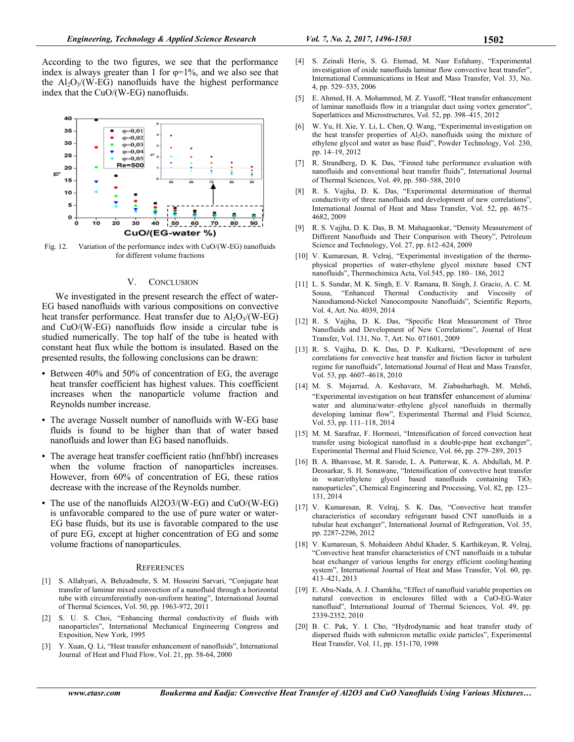According to the two figures, we see that the performance index is always greater than 1 for  $\varphi=1\%$ , and we also see that the  $Al_2O_3/(W-EG)$  nanofluids have the highest performance index that the CuO/(W-EG) nanofluids.



Fig. 12. Variation of the performance index with CuO/(W-EG) nanofluids for different volume fractions

### V. CONCLUSION

We investigated in the present research the effect of water-EG based nanofluids with various compositions on convective heat transfer performance. Heat transfer due to  $Al_2O_3/(W-EG)$ and CuO/(W-EG) nanofluids flow inside a circular tube is studied numerically. The top half of the tube is heated with constant heat flux while the bottom is insulated. Based on the presented results, the following conclusions can be drawn:

- Between 40% and 50% of concentration of EG, the average heat transfer coefficient has highest values. This coefficient increases when the nanoparticle volume fraction and Reynolds number increase.
- The average Nusselt number of nanofluids with W-EG base fluids is found to be higher than that of water based nanofluids and lower than EG based nanofluids.
- The average heat transfer coefficient ratio (hnf/hbf) increases when the volume fraction of nanoparticles increases. However, from 60% of concentration of EG, these ratios decrease with the increase of the Reynolds number.
- The use of the nanofluids Al2O3/(W-EG) and CuO/(W-EG) is unfavorable compared to the use of pure water or water-EG base fluids, but its use is favorable compared to the use of pure EG, except at higher concentration of EG and some volume fractions of nanoparticules.

## **REFERENCES**

- [1] S. Allahyari, A. Behzadmehr, S. M. Hosseini Sarvari, "Conjugate heat transfer of laminar mixed convection of a nanofluid through a horizontal tube with circumferentially non-uniform heating", International Journal of Thermal Sciences, Vol. 50, pp. 1963-972, 2011
- [2] S. U. S. Choi, "Enhancing thermal conductivity of fluids with nanoparticles", International Mechanical Engineering Congress and Exposition, New York, 1995
- [3] Y. Xuan, Q. Li, "Heat transfer enhancement of nanofluids", International Journal of Heat and Fluid Flow, Vol. 21, pp. 58-64, 2000
- [4] S. Zeinali Heris, S. G. Etemad, M. Nasr Esfahany, "Experimental investigation of oxide nanofluids laminar flow convective heat transfer", International Communications in Heat and Mass Transfer, Vol. 33, No. 4, pp. 529–535, 2006
- [5] E. Ahmed, H. A. Mohammed, M. Z. Yusoff, "Heat transfer enhancement of laminar nanofluids flow in a triangular duct using vortex generator", Superlattices and Microstructures, Vol. 52, pp. 398–415, 2012
- W. Yu, H. Xie, Y. Li, L. Chen, Q. Wang, "Experimental investigation on the heat transfer properties of Al<sub>2</sub>O<sub>3</sub> nanofluids using the mixture of ethylene glycol and water as base fluid", Powder Technology, Vol. 230, pp. 14–19, 2012
- R. Strandberg, D. K. Das, "Finned tube performance evaluation with nanofluids and conventional heat transfer fluids", International Journal of Thermal Sciences, Vol. 49, pp. 580–588, 2010
- [8] R. S. Vajjha, D. K. Das, "Experimental determination of thermal conductivity of three nanofluids and development of new correlations", International Journal of Heat and Mass Transfer, Vol. 52, pp. 4675– 4682, 2009
- [9] R. S. Vajjha, D. K. Das, B. M. Mahagaonkar, "Density Measurement of Different Nanofluids and Their Comparison with Theory", Petroleum Science and Technology, Vol. 27, pp. 612–624, 2009
- [10] V. Kumaresan, R. Velraj, "Experimental investigation of the thermophysical properties of water-ethylene glycol mixture based CNT nanofluids", Thermochimica Acta, Vol.545, pp. 180– 186, 2012
- [11] L. S. Sundar, M. K. Singh, E. V. Ramana, B. Singh, J. Gracio, A. C. M. Sousa, "Enhanced Thermal Conductivity and Viscosity of Nanodiamond-Nickel Nanocomposite Nanofluids", Scientific Reports, Vol. 4, Art. No. 4039, 2014
- [12] R. S. Vajjha, D. K. Das, "Specific Heat Measurement of Three Nanofluids and Development of New Correlations", Journal of Heat Transfer, Vol. 131, No. 7, Art. No. 071601, 2009
- [13] R. S. Vajjha, D. K. Das, D. P. Kulkarni, "Development of new correlations for convective heat transfer and friction factor in turbulent regime for nanofluids", International Journal of Heat and Mass Transfer, Vol. 53, pp. 4607–4618, 2010
- [14] M. S. Mojarrad, A. Keshavarz, M. Ziabasharhagh, M. Mehdi, "Experimental investigation on heat transfer enhancement of alumina/ water and alumina/water–ethylene glycol nanofluids in thermally developing laminar flow", Experimental Thermal and Fluid Science, Vol. 53, pp. 111–118, 2014
- [15] M. M. Sarafraz, F. Hormozi, "Intensification of forced convection heat transfer using biological nanofluid in a double-pipe heat exchanger", Experimental Thermal and Fluid Science, Vol. 66, pp. 279–289, 2015
- [16] B. A. Bhanvase, M. R. Sarode, L. A. Putterwar, K. A. Abdullah, M. P. Deosarkar, S. H. Sonawane, "Intensification of convective heat transfer in water/ethylene glycol based nanofluids containing TiO<sub>2</sub> nanoparticles", Chemical Engineering and Processing, Vol. 82, pp. 123– 131, 2014
- [17] V. Kumaresan, R. Velraj, S. K. Das, "Convective heat transfer characteristics of secondary refrigerant based CNT nanofluids in a tubular heat exchanger", International Journal of Refrigeration, Vol. 35, pp. 2287-2296, 2012
- [18] V. Kumaresan, S. Mohaideen Abdul Khader, S. Karthikeyan, R. Velraj, "Convective heat transfer characteristics of CNT nanofluids in a tubular heat exchanger of various lengths for energy efficient cooling/heating system", International Journal of Heat and Mass Transfer, Vol. 60, pp. 413–421, 2013
- [19] E. Abu-Nada, A. J. Chamkha, "Effect of nanofluid variable properties on natural convection in enclosures filled with a CuO-EG-Water nanofluid", International Journal of Thermal Sciences, Vol. 49, pp. 2339-2352, 2010
- [20] B. C. Pak, Y. I. Cho, "Hydrodynamic and heat transfer study of dispersed fluids with submicron metallic oxide particles", Experimental Heat Transfer, Vol. 11, pp. 151-170, 1998